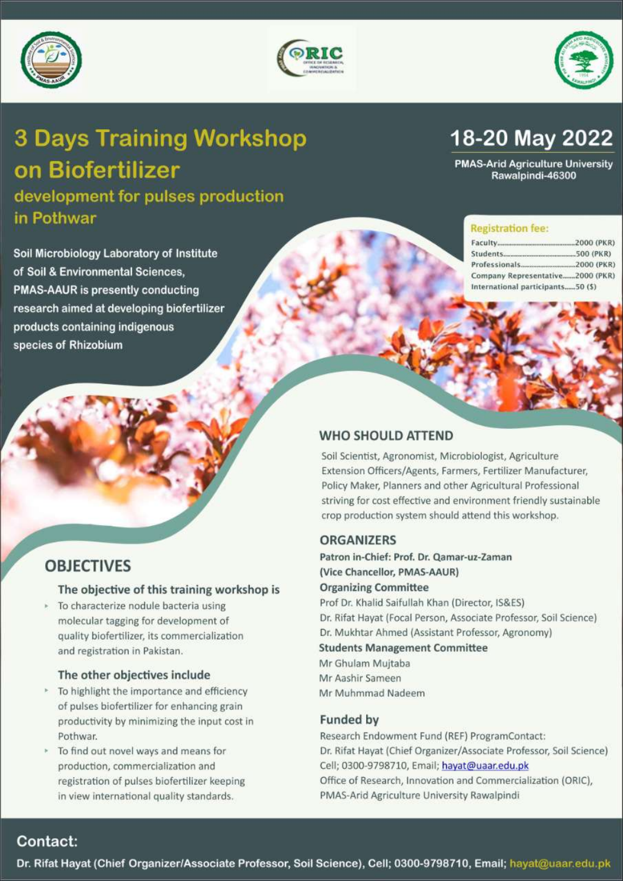





# **3 Days Training Workshop** on Biofertilizer

development for pulses production in Pothwar

Soil Microbiology Laboratory of Institute of Soil & Environmental Sciences. **PMAS-AAUR is presently conducting** research aimed at developing biofertilizer products containing indigenous species of Rhizobium

# 18-20 May 2022

**PMAS-Arid Agriculture University** Rawalpindi-46300

#### **Registration fee:**

| Company Representative2000 (PKR)  |  |
|-----------------------------------|--|
| International participants50 (\$) |  |

# **OBJECTIVES**

#### The objective of this training workshop is

> To characterize nodule bacteria using molecular tagging for development of quality biofertilizer, its commercialization and registration in Pakistan.

#### The other objectives include

- \* To highlight the importance and efficiency of pulses biofertilizer for enhancing grain productivity by minimizing the input cost in Pothwar.
- To find out novel ways and means for production, commercialization and registration of pulses biofertilizer keeping in view international quality standards.

## **WHO SHOULD ATTEND**

Soil Scientist, Agronomist, Microbiologist, Agriculture Extension Officers/Agents, Farmers, Fertilizer Manufacturer, Policy Maker, Planners and other Agricultural Professional striving for cost effective and environment friendly sustainable crop production system should attend this workshop.

### **ORGANIZERS**

Patron in-Chief: Prof. Dr. Qamar-uz-Zaman (Vice Chancellor, PMAS-AAUR) **Organizing Committee** Prof Dr. Khalid Saifullah Khan (Director, IS&ES) Dr. Rifat Hayat (Focal Person, Associate Professor, Soil Science) Dr. Mukhtar Ahmed (Assistant Professor, Agronomy) **Students Management Committee** Mr Ghulam Mujtaba Mr Aashir Sameen

Mr Muhmmad Nadeem

### **Funded by**

Research Endowment Fund (REF) ProgramContact: Dr. Rifat Hayat (Chief Organizer/Associate Professor, Soil Science) Cell; 0300-9798710, Email; hayat@uaar.edu.pk Office of Research, Innovation and Commercialization (ORIC), PMAS-Arid Agriculture University Rawalpindi

# Contact:

Dr. Rifat Hayat (Chief Organizer/Associate Professor, Soil Science), Cell; 0300-9798710, Email; hayat@uaar.edu.pk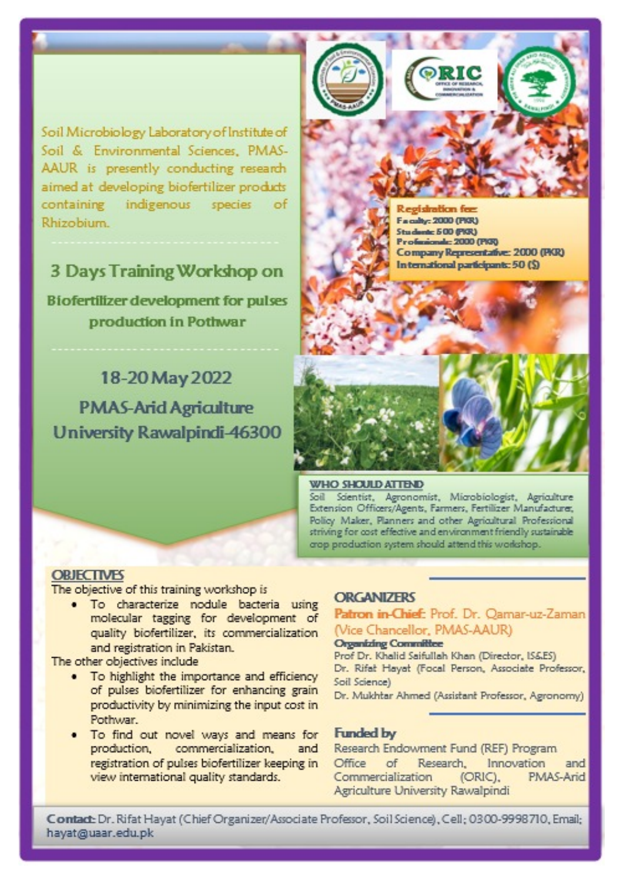Soil Microbiology Laboratory of Institute of Soil & Environmental Sciences, PMAS-AAUR is presently conducting research aimed at developing biofertilizer products containing indigenous species of Rhizobium.

# 3 Days Training Workshop on

**Biofertilizer development for pulses** production in Pothwar

18-20 May 2022 **PMAS-Arid Agriculture University Rawalpindi-46300**  Faculty: 2000 (PKR) Studente 500 (PKR) Profesionale: 2000 (PKR) Company Representative: 2000 (PKR) In ternational participants: 50 (\$)

#### **WHO SHOULD ATTEND**

Soil Scientist, Agronomist, Microbiologist, Agriculture Extension Officers/Agents, Farmers, Fertilizer Manufacturer, Policy Maker, Planners and other Agricultural Professional striving for cost effective and environment friendly sustainable crop production system should attend this workshop.

### **OBJECTIVES**

The objective of this training workshop is

· To characterize nodule bacteria using molecular tagging for development of quality biofertilizer, its commercialization and registration in Pakistan.

The other objectives include

- . To highlight the importance and efficiency of pulses biofertilizer for enhancing grain productivity by minimizing the input cost in Pothwar.
- To find out novel ways and means for production, commercialization, and registration of pulses biofertilizer keeping in view international quality standards.

#### **ORGANIZERS**

### Patron in-Chief: Prof. Dr. Oamar-uz-Zaman (Vice Chancellor, PMAS-AAUR)

#### **Organizing Committee**

Prof Dr. Khalid Saifullah Khan (Director, IS&ES) Dr. Rifat Hayat (Focal Person, Associate Professor, Soil Science)

Dr. Mukhtar Ahmed (Assistant Professor, Agronomy)

#### **Funded by**

Research Endowment Fund (REF) Program Office  $\circ$ f Research. Innovation and PMAS-Arid Commercialization (ORIC). Agriculture University Rawalpindi

Contact: Dr. Rifat Hayat (Chief Organizer/Associate Professor, Soil Science), Cell; 0300-9998710, Email; hayat@uaar.edu.pk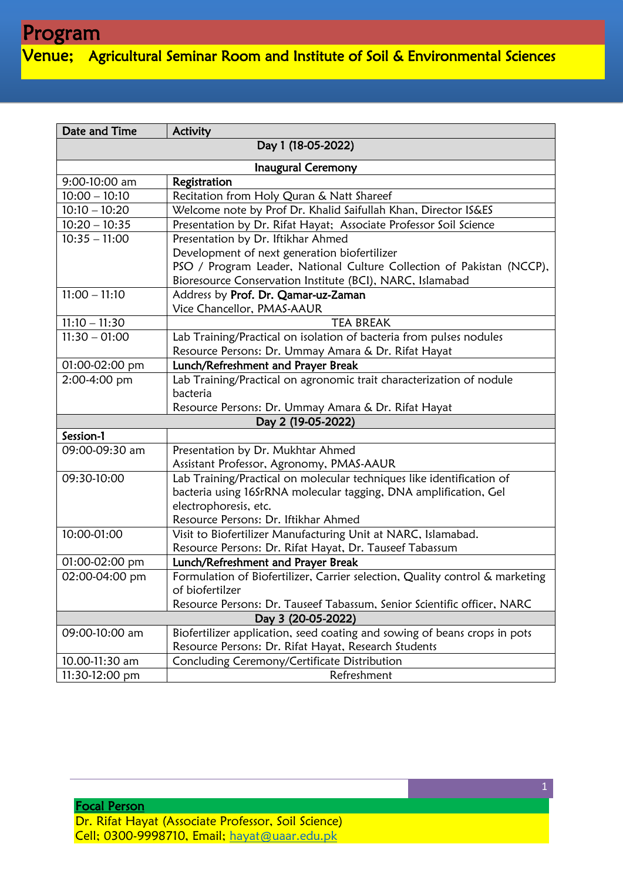Venue; Agricultural Seminar Room and Institute of Soil & Environmental Sciences

| Date and Time             | Activity                                                                     |  |
|---------------------------|------------------------------------------------------------------------------|--|
| Day 1 (18-05-2022)        |                                                                              |  |
| <b>Inaugural Ceremony</b> |                                                                              |  |
| 9:00-10:00 am             | Registration                                                                 |  |
| $10:00 - 10:10$           | Recitation from Holy Quran & Natt Shareef                                    |  |
| $10:10 - 10:20$           | Welcome note by Prof Dr. Khalid Saifullah Khan, Director IS&ES               |  |
| $10:20 - 10:35$           | Presentation by Dr. Rifat Hayat; Associate Professor Soil Science            |  |
| $10:35 - 11:00$           | Presentation by Dr. Iftikhar Ahmed                                           |  |
|                           | Development of next generation biofertilizer                                 |  |
|                           | PSO / Program Leader, National Culture Collection of Pakistan (NCCP),        |  |
|                           | Bioresource Conservation Institute (BCI), NARC, Islamabad                    |  |
| $11:00 - 11:10$           | Address by Prof. Dr. Qamar-uz-Zaman                                          |  |
|                           | Vice Chancellor, PMAS-AAUR                                                   |  |
| $11:10 - 11:30$           | <b>TEA BREAK</b>                                                             |  |
| $11:30 - 01:00$           | Lab Training/Practical on isolation of bacteria from pulses nodules          |  |
|                           | Resource Persons: Dr. Ummay Amara & Dr. Rifat Hayat                          |  |
| 01:00-02:00 pm            | Lunch/Refreshment and Prayer Break                                           |  |
| 2:00-4:00 pm              | Lab Training/Practical on agronomic trait characterization of nodule         |  |
|                           | bacteria                                                                     |  |
|                           | Resource Persons: Dr. Ummay Amara & Dr. Rifat Hayat                          |  |
| Day 2 (19-05-2022)        |                                                                              |  |
| Session-1                 |                                                                              |  |
| 09:00-09:30 am            | Presentation by Dr. Mukhtar Ahmed                                            |  |
|                           | Assistant Professor, Agronomy, PMAS-AAUR                                     |  |
| 09:30-10:00               | Lab Training/Practical on molecular techniques like identification of        |  |
|                           | bacteria using 16SrRNA molecular tagging, DNA amplification, Gel             |  |
|                           | electrophoresis, etc.                                                        |  |
|                           | Resource Persons: Dr. Iftikhar Ahmed                                         |  |
| 10:00-01:00               | Visit to Biofertilizer Manufacturing Unit at NARC, Islamabad.                |  |
|                           | Resource Persons: Dr. Rifat Hayat, Dr. Tauseef Tabassum                      |  |
| 01:00-02:00 pm            | Lunch/Refreshment and Prayer Break                                           |  |
| 02:00-04:00 pm            | Formulation of Biofertilizer, Carrier selection, Quality control & marketing |  |
|                           | of biofertilzer                                                              |  |
|                           | Resource Persons: Dr. Tauseef Tabassum, Senior Scientific officer, NARC      |  |
| Day 3 (20-05-2022)        |                                                                              |  |
| 09:00-10:00 am            | Biofertilizer application, seed coating and sowing of beans crops in pots    |  |
|                           | Resource Persons: Dr. Rifat Hayat, Research Students                         |  |
| 10.00-11:30 am            | Concluding Ceremony/Certificate Distribution                                 |  |
| 11:30-12:00 pm            | Refreshment                                                                  |  |